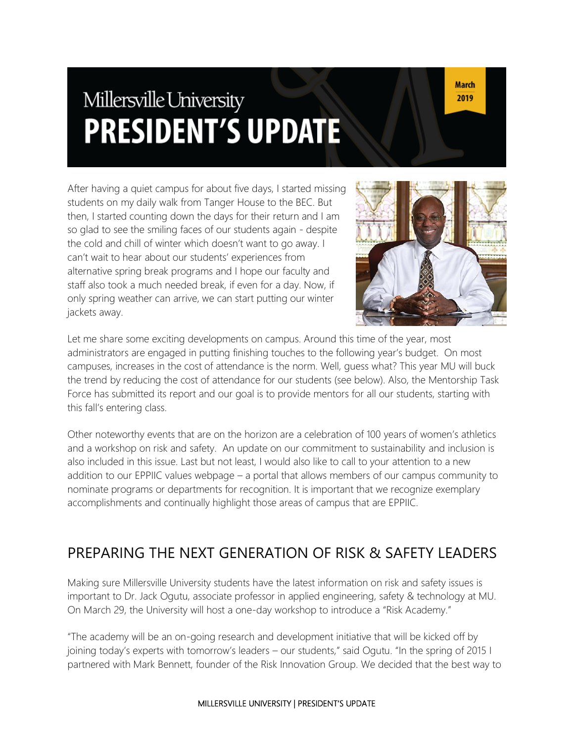# Millersville University **PRESIDENT'S UPDATE**

After having a quiet campus for about five days, I started missing students on my daily walk from Tanger House to the BEC. But then, I started counting down the days for their return and I am so glad to see the smiling faces of our students again - despite the cold and chill of winter which doesn't want to go away. I can't wait to hear about our students' experiences from alternative spring break programs and I hope our faculty and staff also took a much needed break, if even for a day. Now, if only spring weather can arrive, we can start putting our winter jackets away.



Let me share some exciting developments on campus. Around this time of the year, most administrators are engaged in putting finishing touches to the following year's budget. On most campuses, increases in the cost of attendance is the norm. Well, guess what? This year MU will buck the trend by reducing the cost of attendance for our students (see below). Also, the Mentorship Task Force has submitted its report and our goal is to provide mentors for all our students, starting with this fall's entering class.

Other noteworthy events that are on the horizon are a celebration of 100 years of women's athletics and a workshop on risk and safety. An update on our commitment to sustainability and inclusion is also included in this issue. Last but not least, I would also like to call to your attention to a new addition to our EPPIIC values webpage – a portal that allows members of our campus community to nominate programs or departments for recognition. It is important that we recognize exemplary accomplishments and continually highlight those areas of campus that are EPPIIC.

#### PREPARING THE NEXT GENERATION OF RISK & SAFETY LEADERS

Making sure Millersville University students have the latest information on risk and safety issues is important to Dr. Jack Ogutu, associate professor in applied engineering, safety & technology at MU. On March 29, the University will host a one-day workshop to introduce a "Risk Academy."

"The academy will be an on-going research and development initiative that will be kicked off by joining today's experts with tomorrow's leaders – our students," said Ogutu. "In the spring of 2015 I partnered with Mark Bennett, founder of the Risk Innovation Group. We decided that the best way to

#### MILLERSVILLE UNIVERSITY | PRESIDENT'S UPDATE

**March** 2019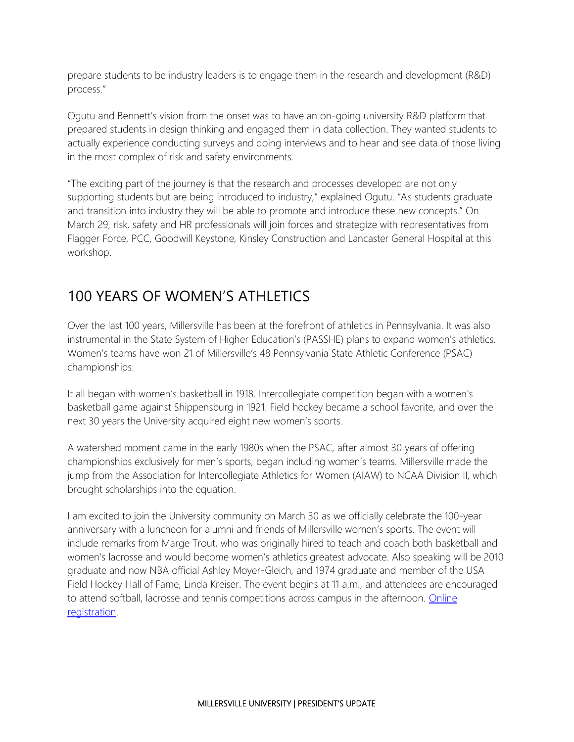prepare students to be industry leaders is to engage them in the research and development (R&D) process."

Ogutu and Bennett's vision from the onset was to have an on-going university R&D platform that prepared students in design thinking and engaged them in data collection. They wanted students to actually experience conducting surveys and doing interviews and to hear and see data of those living in the most complex of risk and safety environments.

"The exciting part of the journey is that the research and processes developed are not only supporting students but are being introduced to industry," explained Ogutu. "As students graduate and transition into industry they will be able to promote and introduce these new concepts." On March 29, risk, safety and HR professionals will join forces and strategize with representatives from Flagger Force, PCC, Goodwill Keystone, Kinsley Construction and Lancaster General Hospital at this workshop.

## 100 YEARS OF WOMEN'S ATHLETICS

Over the last 100 years, Millersville has been at the forefront of athletics in Pennsylvania. It was also instrumental in the State System of Higher Education's (PASSHE) plans to expand women's athletics. Women's teams have won 21 of Millersville's 48 Pennsylvania State Athletic Conference (PSAC) championships.

It all began with women's basketball in 1918. Intercollegiate competition began with a women's basketball game against Shippensburg in 1921. Field hockey became a school favorite, and over the next 30 years the University acquired eight new women's sports.

A watershed moment came in the early 1980s when the PSAC, after almost 30 years of offering championships exclusively for men's sports, began including women's teams. Millersville made the jump from the Association for Intercollegiate Athletics for Women (AIAW) to NCAA Division II, which brought scholarships into the equation.

I am excited to join the University community on March 30 as we officially celebrate the 100-year anniversary with a luncheon for alumni and friends of Millersville women's sports. The event will include remarks from Marge Trout, who was originally hired to teach and coach both basketball and women's lacrosse and would become women's athletics greatest advocate. Also speaking will be 2010 graduate and now NBA official Ashley Moyer-Gleich, and 1974 graduate and member of the USA Field Hockey Hall of Fame, Linda Kreiser. The event begins at 11 a.m., and attendees are encouraged to attend softball, lacrosse and tennis competitions across campus in the afternoon. Online [registration.](https://millersvilleathletics.com/news/2019/2/19/general-luncheon-in-celebration-of-100-years-of-womens-intercollegiate-athletics-set-for-march-30.aspx)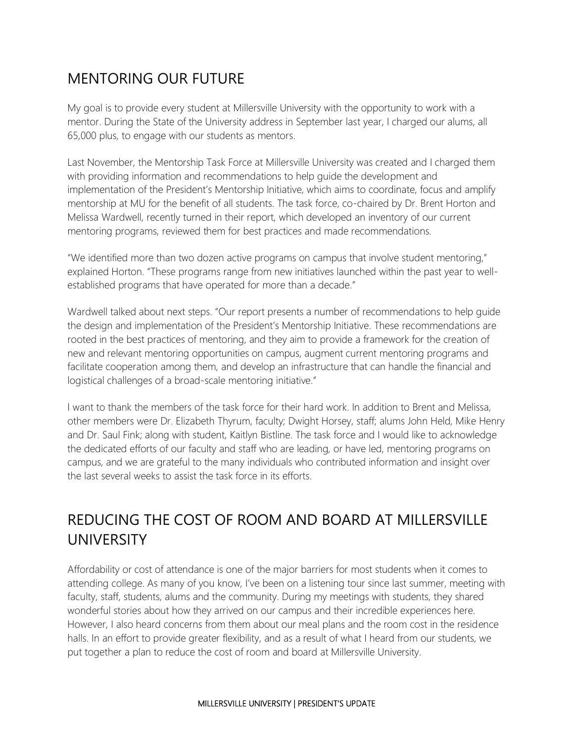#### MENTORING OUR FUTURE

My goal is to provide every student at Millersville University with the opportunity to work with a mentor. During the State of the University address in September last year, I charged our alums, all 65,000 plus, to engage with our students as mentors.

Last November, the Mentorship Task Force at Millersville University was created and I charged them with providing information and recommendations to help guide the development and implementation of the President's Mentorship Initiative, which aims to coordinate, focus and amplify mentorship at MU for the benefit of all students. The task force, co-chaired by Dr. Brent Horton and Melissa Wardwell, recently turned in their report, which developed an inventory of our current mentoring programs, reviewed them for best practices and made recommendations.

"We identified more than two dozen active programs on campus that involve student mentoring," explained Horton. "These programs range from new initiatives launched within the past year to wellestablished programs that have operated for more than a decade."

Wardwell talked about next steps. "Our report presents a number of recommendations to help guide the design and implementation of the President's Mentorship Initiative. These recommendations are rooted in the best practices of mentoring, and they aim to provide a framework for the creation of new and relevant mentoring opportunities on campus, augment current mentoring programs and facilitate cooperation among them, and develop an infrastructure that can handle the financial and logistical challenges of a broad-scale mentoring initiative."

I want to thank the members of the task force for their hard work. In addition to Brent and Melissa, other members were Dr. Elizabeth Thyrum, faculty; Dwight Horsey, staff; alums John Held, Mike Henry and Dr. Saul Fink; along with student, Kaitlyn Bistline. The task force and I would like to acknowledge the dedicated efforts of our faculty and staff who are leading, or have led, mentoring programs on campus, and we are grateful to the many individuals who contributed information and insight over the last several weeks to assist the task force in its efforts.

# REDUCING THE COST OF ROOM AND BOARD AT MILLERSVILLE UNIVERSITY

Affordability or cost of attendance is one of the major barriers for most students when it comes to attending college. As many of you know, I've been on a listening tour since last summer, meeting with faculty, staff, students, alums and the community. During my meetings with students, they shared wonderful stories about how they arrived on our campus and their incredible experiences here. However, I also heard concerns from them about our meal plans and the room cost in the residence halls. In an effort to provide greater flexibility, and as a result of what I heard from our students, we put together a plan to reduce the cost of room and board at Millersville University.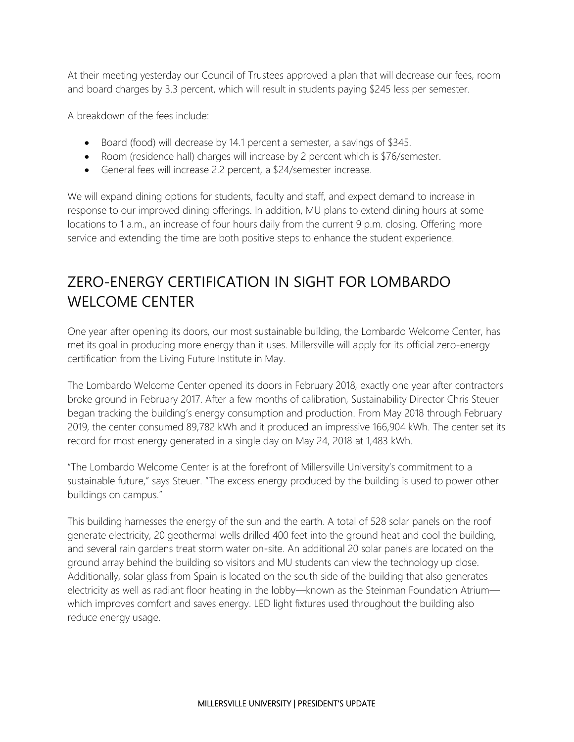At their meeting yesterday our Council of Trustees approved a plan that will decrease our fees, room and board charges by 3.3 percent, which will result in students paying \$245 less per semester.

A breakdown of the fees include:

- Board (food) will decrease by 14.1 percent a semester, a savings of \$345.
- Room (residence hall) charges will increase by 2 percent which is \$76/semester.
- General fees will increase 2.2 percent, a \$24/semester increase.

We will expand dining options for students, faculty and staff, and expect demand to increase in response to our improved dining offerings. In addition, MU plans to extend dining hours at some locations to 1 a.m., an increase of four hours daily from the current 9 p.m. closing. Offering more service and extending the time are both positive steps to enhance the student experience.

## ZERO-ENERGY CERTIFICATION IN SIGHT FOR LOMBARDO WELCOME CENTER

One year after opening its doors, our most sustainable building, the Lombardo Welcome Center, has met its goal in producing more energy than it uses. Millersville will apply for its official zero-energy certification from the Living Future Institute in May.

The Lombardo Welcome Center opened its doors in February 2018, exactly one year after contractors broke ground in February 2017. After a few months of calibration, Sustainability Director Chris Steuer began tracking the building's energy consumption and production. From May 2018 through February 2019, the center consumed 89,782 kWh and it produced an impressive 166,904 kWh. The center set its record for most energy generated in a single day on May 24, 2018 at 1,483 kWh.

"The Lombardo Welcome Center is at the forefront of Millersville University's commitment to a sustainable future," says Steuer. "The excess energy produced by the building is used to power other buildings on campus."

This building harnesses the energy of the sun and the earth. A total of 528 solar panels on the roof generate electricity, 20 geothermal wells drilled 400 feet into the ground heat and cool the building, and several rain gardens treat storm water on-site. An additional 20 solar panels are located on the ground array behind the building so visitors and MU students can view the technology up close. Additionally, solar glass from Spain is located on the south side of the building that also generates electricity as well as radiant floor heating in the lobby—known as the Steinman Foundation Atrium which improves comfort and saves energy. LED light fixtures used throughout the building also reduce energy usage.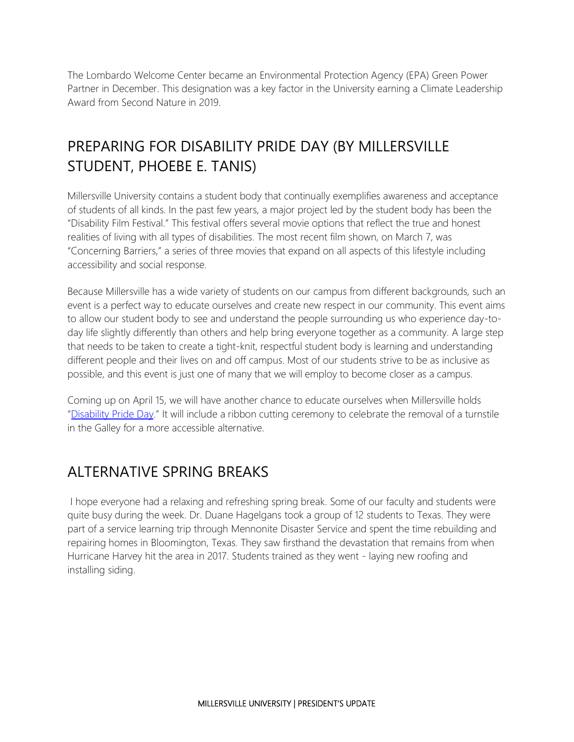The Lombardo Welcome Center became an Environmental Protection Agency (EPA) Green Power Partner in December. This designation was a key factor in the University earning a Climate Leadership Award from Second Nature in 2019.

#### PREPARING FOR DISABILITY PRIDE DAY (BY MILLERSVILLE STUDENT, PHOEBE E. TANIS)

Millersville University contains a student body that continually exemplifies awareness and acceptance of students of all kinds. In the past few years, a major project led by the student body has been the "Disability Film Festival." This festival offers several movie options that reflect the true and honest realities of living with all types of disabilities. The most recent film shown, on March 7, was "Concerning Barriers," a series of three movies that expand on all aspects of this lifestyle including accessibility and social response.

Because Millersville has a wide variety of students on our campus from different backgrounds, such an event is a perfect way to educate ourselves and create new respect in our community. This event aims to allow our student body to see and understand the people surrounding us who experience day-today life slightly differently than others and help bring everyone together as a community. A large step that needs to be taken to create a tight-knit, respectful student body is learning and understanding different people and their lives on and off campus. Most of our students strive to be as inclusive as possible, and this event is just one of many that we will employ to become closer as a campus.

Coming up on April 15, we will have another chance to educate ourselves when Millersville holds "[Disability Pride Day](https://www.millersville.edu/calendar/events/9e42c057-c73f-11e8-87b7-53e3db6deece?date=2019-04-15&mode=day)." It will include a ribbon cutting ceremony to celebrate the removal of a turnstile in the Galley for a more accessible alternative.

#### ALTERNATIVE SPRING BREAKS

I hope everyone had a relaxing and refreshing spring break. Some of our faculty and students were quite busy during the week. Dr. Duane Hagelgans took a group of 12 students to Texas. They were part of a service learning trip through Mennonite Disaster Service and spent the time rebuilding and repairing homes in Bloomington, Texas. They saw firsthand the devastation that remains from when Hurricane Harvey hit the area in 2017. Students trained as they went - laying new roofing and installing siding.